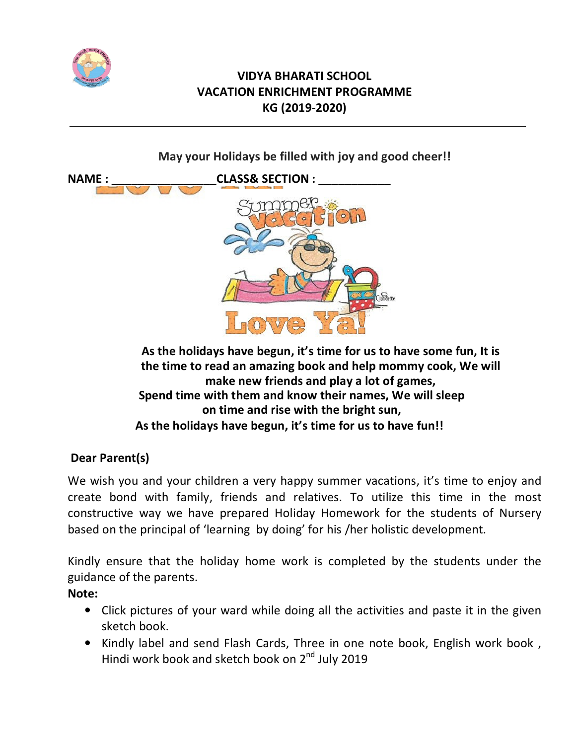

# **VIDYA BHARATI SCHOOL VACATION ENRICHMENT PROGRAMME KG (2019-2020)**

**May your Holidays be filled with joy and good cheer!!**



**As the holidays have begun, it's time for us to have some fun, It is the time to read an amazing book and help mommy cook, We will make new friends and play a lot of games, Spend time with them and know their names, We will sleep on time and rise with the bright sun, As the holidays have begun, it's time for us to have fun!!**

## **Dear Parent(s)**

We wish you and your children a very happy summer vacations, it's time to enjoy and create bond with family, friends and relatives. To utilize this time in the most constructive way we have prepared Holiday Homework for the students of Nursery based on the principal of 'learning by doing' for his /her holistic development.

Kindly ensure that the holiday home work is completed by the students under the guidance of the parents.

## **Note:**

- Click pictures of your ward while doing all the activities and paste it in the given sketch book.
- Kindly label and send Flash Cards, Three in one note book, English work book , Hindi work book and sketch book on 2<sup>nd</sup> July 2019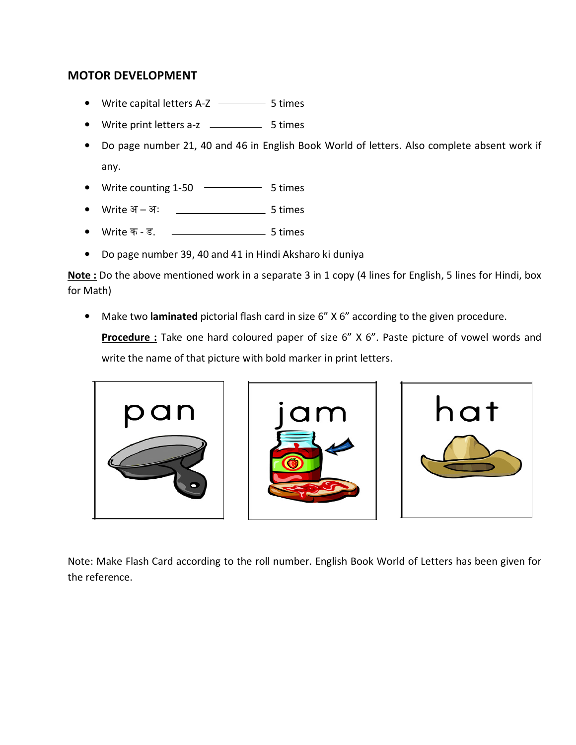### **MOTOR DEVELOPMENT**

- Write capital letters A-Z  $\longrightarrow$  5 times
- Write print letters a-z \_\_\_\_\_\_\_\_\_\_\_\_ 5 times
- Do page number 21, 40 and 46 in English Book World of letters. Also complete absent work if any.
- Write counting  $1-50$   $\longrightarrow$  5 times
- Write अ अः <u>\_\_\_\_\_\_\_\_\_\_\_\_\_\_\_\_\_\_</u> 5 times
- Write क ड. <u>\_\_\_\_\_\_\_\_\_\_\_\_\_\_\_\_\_\_\_\_\_</u> 5 times
- Do page number 39, 40 and 41 in Hindi Aksharo ki duniya

**Note :** Do the above mentioned work in a separate 3 in 1 copy (4 lines for English, 5 lines for Hindi, box for Math)

• Make two **laminated** pictorial flash card in size 6" X 6" according to the given procedure.

**Procedure :** Take one hard coloured paper of size 6" X 6". Paste picture of vowel words and write the name of that picture with bold marker in print letters.







Note: Make Flash Card according to the roll number. English Book World of Letters has been given for the reference.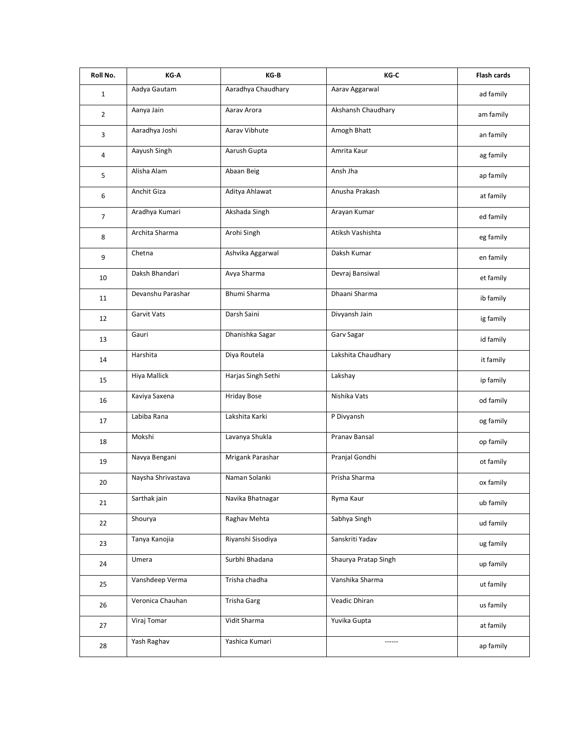| Roll No.       | KG-A               | KG-B                | KG-C                 | <b>Flash cards</b> |
|----------------|--------------------|---------------------|----------------------|--------------------|
| $\mathbf{1}$   | Aadya Gautam       | Aaradhya Chaudhary  | Aarav Aggarwal       | ad family          |
| $\overline{2}$ | Aanya Jain         | Aarav Arora         | Akshansh Chaudhary   | am family          |
| 3              | Aaradhya Joshi     | Aarav Vibhute       | Amogh Bhatt          | an family          |
| 4              | Aayush Singh       | Aarush Gupta        | Amrita Kaur          | ag family          |
| 5              | Alisha Alam        | Abaan Beig          | Ansh Jha             | ap family          |
| 6              | Anchit Giza        | Aditya Ahlawat      | Anusha Prakash       | at family          |
| $\overline{7}$ | Aradhya Kumari     | Akshada Singh       | Arayan Kumar         | ed family          |
| 8              | Archita Sharma     | Arohi Singh         | Atiksh Vashishta     | eg family          |
| 9              | Chetna             | Ashvika Aggarwal    | Daksh Kumar          | en family          |
| 10             | Daksh Bhandari     | Avya Sharma         | Devraj Bansiwal      | et family          |
| 11             | Devanshu Parashar  | <b>Bhumi Sharma</b> | Dhaani Sharma        | ib family          |
| 12             | Garvit Vats        | Darsh Saini         | Divyansh Jain        | ig family          |
| 13             | Gauri              | Dhanishka Sagar     | Garv Sagar           | id family          |
| 14             | Harshita           | Diya Routela        | Lakshita Chaudhary   | it family          |
| 15             | Hiya Mallick       | Harjas Singh Sethi  | Lakshay              | ip family          |
| 16             | Kaviya Saxena      | <b>Hriday Bose</b>  | Nishika Vats         | od family          |
| 17             | Labiba Rana        | Lakshita Karki      | P Divyansh           | og family          |
| 18             | Mokshi             | Lavanya Shukla      | Pranav Bansal        | op family          |
| 19             | Navya Bengani      | Mrigank Parashar    | Pranjal Gondhi       | ot family          |
| 20             | Naysha Shrivastava | Naman Solanki       | Prisha Sharma        | ox family          |
| 21             | Sarthak jain       | Navika Bhatnagar    | Ryma Kaur            | ub family          |
| 22             | Shourya            | Raghav Mehta        | Sabhya Singh         | ud family          |
| 23             | Tanya Kanojia      | Riyanshi Sisodiya   | Sanskriti Yadav      | ug family          |
| 24             | Umera              | Surbhi Bhadana      | Shaurya Pratap Singh | up family          |
| 25             | Vanshdeep Verma    | Trisha chadha       | Vanshika Sharma      | ut family          |
| 26             | Veronica Chauhan   | <b>Trisha Garg</b>  | Veadic Dhiran        | us family          |
| 27             | Viraj Tomar        | Vidit Sharma        | Yuvika Gupta         | at family          |
| 28             | Yash Raghav        | Yashica Kumari      |                      | ap family          |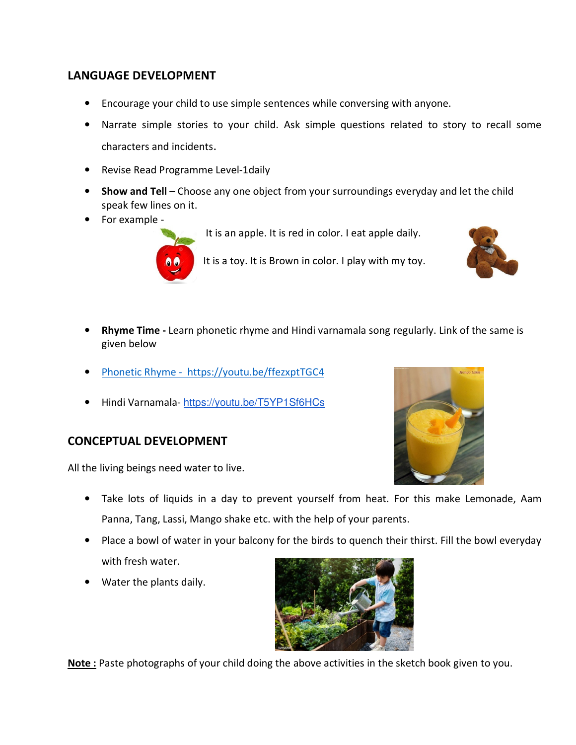### **LANGUAGE DEVELOPMENT**

- Encourage your child to use simple sentences while conversing with anyone.
- Narrate simple stories to your child. Ask simple questions related to story to recall some characters and incidents.
- Revise Read Programme Level-1daily
- **Show and Tell** Choose any one object from your surroundings everyday and let the child speak few lines on it.
- For example -



It is an apple. It is red in color. I eat apple daily.





- **Rhyme Time** Learn phonetic rhyme and Hindi varnamala song regularly. Link of the same is given below
- Phonetic Rhyme https://youtu.be/ffezxptTGC4
- Hindi Varnamala- https://youtu.be/T5YP1Sf6HCs

## **CONCEPTUAL DEVELOPMENT**

All the living beings need water to live.



- Take lots of liquids in a day to prevent yourself from heat. For this make Lemonade, Aam Panna, Tang, Lassi, Mango shake etc. with the help of your parents.
- Place a bowl of water in your balcony for the birds to quench their thirst. Fill the bowl everyday with fresh water.
- Water the plants daily.



**Note :** Paste photographs of your child doing the above activities in the sketch book given to you.